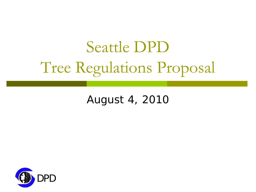# Seattle DPD Tree Regulations Proposal

#### August 4, 2010

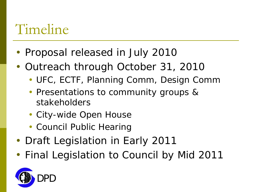#### Timeline

- Proposal released in July 2010
- Outreach through October 31, 2010
	- UFC, ECTF, Planning Comm, Design Comm
	- Presentations to community groups & stakeholders
	- City-wide Open House
	- Council Public Hearing
- Draft Legislation in Early 2011
- Final Legislation to Council by Mid 2011

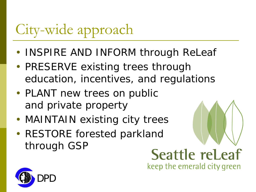# City-wide approach

- INSPIRE AND INFORM through ReLeaf
- PRESERVE existing trees through education, incentives, and regulations
- PLANT new trees on public and private property
- MAINTAIN existing city trees
- RESTORE forested parkland through GSP

**Seattle releaf** keep the emerald city green

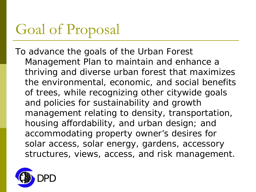#### Goal of Proposal

*To advance the goals of the Urban Forest Management Plan to maintain and enhance a thriving and diverse urban forest that maximizes the environmental, economic, and social benefits of trees, while recognizing other citywide goals and policies for sustainability and growth management relating to density, transportation, housing affordability, and urban design; and accommodating property owner's desires for solar access, solar energy, gardens, accessory structures, views, access, and risk management.*

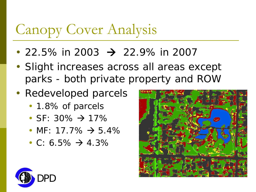# Canopy Cover Analysis

- 22.5% in 2003  $\rightarrow$  22.9% in 2007
- Slight increases across all areas except parks - both private property and ROW
- Redeveloped parcels
	- 1.8% of parcels
	- SF: 30%  $\rightarrow$  17%
	- MF: 17.7%  $\rightarrow$  5.4%
	- C: 6.5%  $\rightarrow$  4.3%



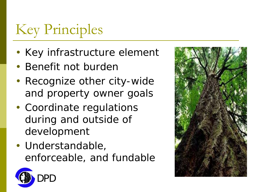# Key Principles

- Key infrastructure element
- Benefit not burden
- Recognize other city-wide and property owner goals
- Coordinate regulations during and outside of development
- Understandable, enforceable, and fundable



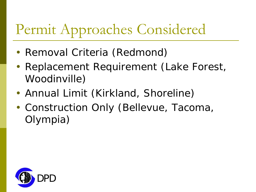#### Permit Approaches Considered

- Removal Criteria (Redmond)
- Replacement Requirement (Lake Forest, Woodinville)
- Annual Limit (Kirkland, Shoreline)
- Construction Only (Bellevue, Tacoma, Olympia)

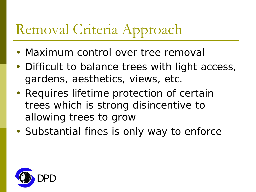# Removal Criteria Approach

- Maximum control over tree removal
- Difficult to balance trees with light access, gardens, aesthetics, views, etc.
- Requires lifetime protection of certain trees which is strong disincentive to allowing trees to grow
- Substantial fines is only way to enforce

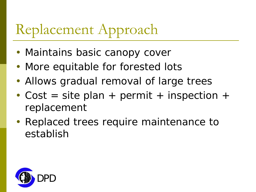### Replacement Approach

- Maintains basic canopy cover
- More equitable for forested lots
- Allows gradual removal of large trees
- Cost = site plan + permit + inspection + replacement
- Replaced trees require maintenance to establish

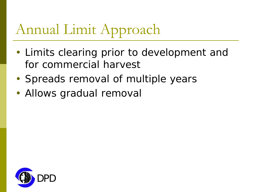### Annual Limit Approach

- Limits clearing prior to development and for commercial harvest
- Spreads removal of multiple years
- Allows gradual removal

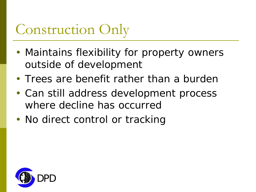#### Construction Only

- Maintains flexibility for property owners outside of development
- Trees are benefit rather than a burden
- Can still address development process where decline has occurred
- No direct control or tracking

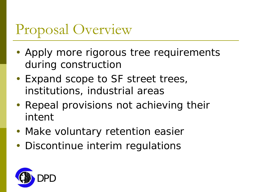#### Proposal Overview

- Apply more rigorous tree requirements during construction
- Expand scope to SF street trees, institutions, industrial areas
- Repeal provisions not achieving their intent
- Make voluntary retention easier
- Discontinue interim regulations

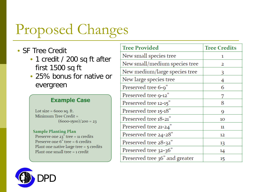- SF Tree Credit
	- 1 credit / 200 sq ft after first 1500 sq ft
	- 25% bonus for native or evergreen

#### **Example Case**

Lot size =  $6000$  sq. ft. Minimum Tree Credit  $=$  $(6000-1500)/200 = 23$ 

#### **Sample Planting Plan**

Preserve one  $23$ " tree = 11 credits Preserve one  $6"$  tree = 6 credits Plant one native large tree  $=$  5 credits Plant one small tree  $=$  1 credit

| <b>Tree Provided</b>           | <b>Tree Credits</b> |
|--------------------------------|---------------------|
| New small species tree         | 1                   |
| New small/medium species tree  | 2                   |
| New medium/large species tree  | 3                   |
| New large species tree         | 4                   |
| Preserved tree 6-9"            | 6                   |
| Preserved tree 9-12"           | 7                   |
| Preserved tree 12-15"          | 8                   |
| Preserved tree 15-18"          | 9                   |
| Preserved tree 18-21"          | 10                  |
| Preserved tree 21-24"          | 11                  |
| Preserved tree 24-28"          | 12                  |
| Preserved tree 28-32"          | 13                  |
| Preserved tree 32-36"          | 14                  |
| Preserved tree 36" and greater | 15                  |

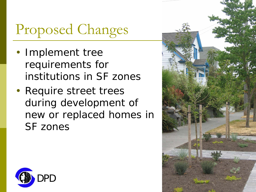- Implement tree requirements for institutions in SF zones
- Require street trees during development of new or replaced homes in SF zones



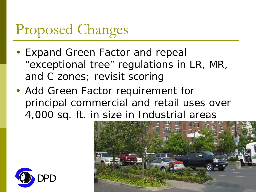- Expand Green Factor and repeal "exceptional tree" regulations in LR, MR, and C zones; revisit scoring
- Add Green Factor requirement for principal commercial and retail uses over 4,000 sq. ft. in size in Industrial areas



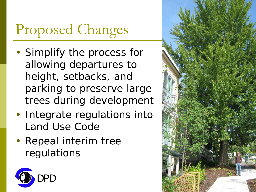- Simplify the process for allowing departures to height, setbacks, and parking to preserve large trees during development
- Integrate regulations into Land Use Code
- Repeal interim tree regulations